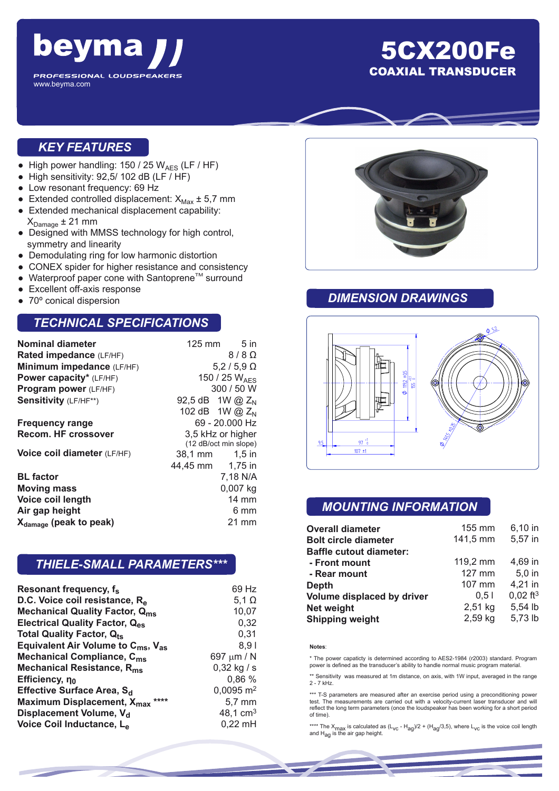

## 5CX200Fe COAXIAL TRANSDUCER

### *KEY FEATURES*

- High power handling:  $150 / 25 W_{AES}$  (LF / HF)
- $\bullet$  High sensitivity: 92,5/ 102 dB (LF / HF)
- Low resonant frequency: 69 Hz
- Extended controlled displacement:  $X_{\text{Max}} \pm 5.7 \text{ mm}$
- Extended mechanical displacement capability:  $X_{Damaae} \pm 21$  mm
- Designed with MMSS technology for high control, symmetry and linearity
- Demodulating ring for low harmonic distortion
- CONEX spider for higher resistance and consistency
- $\bullet$  Waterproof paper cone with Santoprene<sup>TM</sup> surround
- Excellent off-axis response
- 70° conical dispersion

#### *TECHNICAL SPECIFICATIONS*

|                       | $125 \text{ mm}$ 5 in |
|-----------------------|-----------------------|
|                       | $8/8$ $\Omega$        |
|                       | $5,2/5,9$ $\Omega$    |
| 150 / 25 WAFS         |                       |
| 300 / 50 W            |                       |
|                       | 92,5 dB 1W @ $Z_{N}$  |
|                       | 102 dB 1W @ $Z_{N}$   |
|                       | 69 - 20.000 Hz        |
| 3,5 kHz or higher     |                       |
| (12 dB/oct min slope) |                       |
|                       | 38,1 mm   1,5 in      |
| 44,45 mm 1,75 in      |                       |
|                       | 7,18 N/A              |
|                       | 0,007 kg              |
|                       | $14 \text{ mm}$       |
|                       | 6 mm                  |
|                       | 21 mm                 |
|                       |                       |

### *THIELE-SMALL PARAMETERS\*\*\**

| Resonant frequency, f <sub>s</sub>                         | 69 Hz                   |
|------------------------------------------------------------|-------------------------|
| D.C. Voice coil resistance, Re                             | 5,1 $\Omega$            |
| <b>Mechanical Quality Factor, Qms</b>                      | 10,07                   |
| Electrical Quality Factor, Q <sub>es</sub>                 | 0,32                    |
| Total Quality Factor, Qts                                  | 0,31                    |
| Equivalent Air Volume to C <sub>ms</sub> , V <sub>as</sub> | 8.91                    |
| Mechanical Compliance, C <sub>ms</sub>                     | 697 µm / N              |
| Mechanical Resistance, R <sub>ms</sub>                     | $0,32$ kg / s           |
| Efficiency, no                                             | 0,86 %                  |
| Effective Surface Area, S <sub>d</sub>                     | $0,0095$ m <sup>2</sup> |
| Maximum Displacement, X <sub>max</sub> ****                | 5,7 mm                  |
| Displacement Volume, V <sub>d</sub>                        | 48,1 $cm3$              |
| Voice Coil Inductance, L <sub>e</sub>                      | $0,22$ mH               |
|                                                            |                         |



#### *DIMENSION DRAWINGS*



#### *MOUNTING INFORMATION*

| <b>Overall diameter</b>        | 155 mm               | 6,10 in                |
|--------------------------------|----------------------|------------------------|
| <b>Bolt circle diameter</b>    | 141,5 mm             | 5,57 in                |
| <b>Baffle cutout diameter:</b> |                      |                        |
| - Front mount                  | $119,2 \, \text{mm}$ | 4.69 in                |
| - Rear mount                   | 127 mm               | $5.0$ in               |
| <b>Depth</b>                   | 107 mm               | 4,21 in                |
| Volume displaced by driver     | 0.51                 | $0,02$ ft <sup>3</sup> |
| <b>Net weight</b>              | 2,51 kg              | 5,54 lb                |
| <b>Shipping weight</b>         | 2,59 kg              | 5,73 lb                |

#### **Notes**:

\* The power capaticty is determined according to AES2-1984 (r2003) standard. Program power is defined as the transducer's ability to handle normal music program material.

\*\* Sensitivity was measured at 1m distance, on axis, with 1W input, averaged in the range 2 - 7 kHz.

\*\*\* T-S parameters are measured after an exercise period using a preconditioning power test. The measurements are carried out with a velocity-current laser transducer and will reflect the long term parameters (once the loudspeaker has been working for a short period of time).

\*\*\*\* The X<sub>max</sub> is calculated as (L<sub>VC</sub> - H<sub>ag</sub>)/2 + (H<sub>ag</sub>/3,5), where L<sub>VC</sub> is the voice coil length<br>and H<sub>ag</sub> is the air gap height.